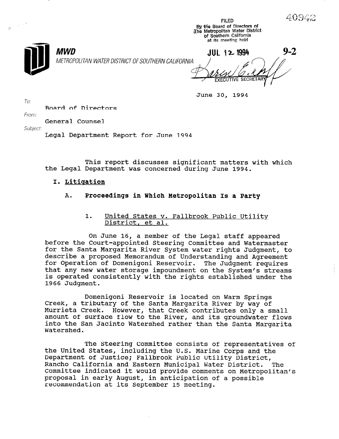| $\mathbf{e}_\perp$ |                                                           | エルトレ<br>By the Board of Directors of<br>The Metropolitan Water District<br>of Southern California<br>at its meeting held |         |
|--------------------|-----------------------------------------------------------|--------------------------------------------------------------------------------------------------------------------------|---------|
|                    | MWD<br>METROPOLITAN WATER DISTRICT OF SOUTHERN CALIFORNIA | $JUL$ 12 1994<br><b>EXECUTIVE SECRETARY</b>                                                                              | $9 - 2$ |

June 30, 1994

FILED

To:

Board of Directors

From:

General Counsel

Subject:

Legal Department Report for June 1994

This report discusses significant matters with which the Legal Department was concerned during June 1994.

# I. Litiaation

# A. Proceedings in Which Metropolitan Is a Party

# 1. United States v. Fallbrook Public Utility District, et al.

On June 16, a member of the Legal staff appeared before the Court-appointed Steering Committee and Watermaster for the Santa Margarita River System water rights Judgment, to describe a proposed Memorandum of Understanding and Agreement for Operation of Domenigoni Reservoir. The Judgment requires that any new water storage impoundment on the System's streams is operated consistently with the rights established under the 1966 Judgment.

Domenigoni Reservoir is located on Warm Springs Creek, a tributary of the Santa Margarita River by way of Murrieta Creek. However, that Creek contributes only a small amount of surface flow to the River, and its groundwater flows into the San Jacinto Watershed rather than the Santa Margarita Watershed.

The Steering Committee consists of representatives of the Steeling Committee Consists of representative. Lie United States, Including the U.S. Marine Corps and<br>Department of Justice: Fallbrook Public Utility Distri Department of Justice; Fallbrook Public Utility District,<br>Rancho California and Eastern Municipal Water District. The Rancho California and Eastern Municipal Water District. Committee indicated it would provide comments on Metropolitan's proposal in early August, in anticipation of a possible recommendation at its September 15 meeting.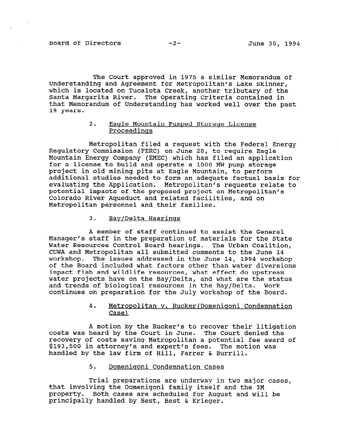The Court approved in 1975 a similar Memorandum of Understanding and Agreement for Metropolitan's Lake Skinner, which is located on Tucalota Creek, another tributary of the Santa Margarita River. The Operating Criteria contained in that Memorandum of Understanding has worked well over the past 19 years.

#### 2. Eagle Mountain Pumped Storage License Proceedinas

Metropolitan filed a request with the Federal Energy Regulatory Commission (FERC) on June 28, to require Eagle Mountain Energy Company (EMEC) which has filed an application for a license to build and operate a 1000 MW pump storage project in old mining pits at Eagle Mountain, to perform additional studies needed to form an adequate factual basis for evaluating the Application. Metropolitan's requests relate to potential impacts of the proposed project on Metropolitan's Colorado River Aqueduct and related facilities, and on Metropolitan personnel and their families.

## 3. Bay/Delta Hearinas

A member of staff continued to assist the General Manager's staff in the preparation of materials for the State Water Resources Control Board hearings. The Urban Coalition, CUWA and Metropolitan all submitted comments to the June 14 workshop. The issues addressed in the June 14, 1994 workshop of the Board included what factors other than water diversions impact fish and wildlife resources, what effect do upstream water projects have on the Bay/Delta, and what are the status and trends of biological resources in the Bay/Delta. Work continues on preparation for the July workshop of the Board.

## 4. Metropolitan v. Rucker(Domenisoni Condemnation Case)

A motion by the Rucker's to recover their litigation costs was heard by the Court in June. The Court denied the costs was heard by the court in bune. The court denied the fecovery of costs saving metropolitan a potential lee awa<br>dias 500 in attorney's and expert's fees. The motion was \$193,500 in attorney's and expert's fees. The motion was handled by the law firm of Hill, Farrer & Burrill.

#### 5. Domenigoni Condemnation Cases

Trial preparations are underway in two major cases, that involving the Domenigoni family itself and the 3M property. Both cases are scheduled for August and the SM. property. Both cases are scheduled for August and will be principally handled by Best, Best & Krieger.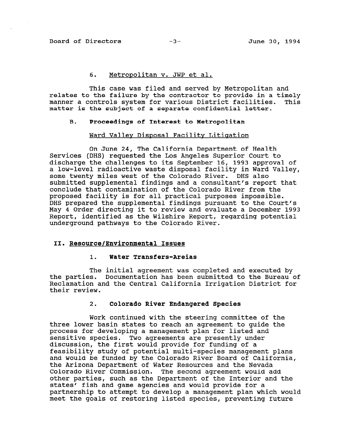# 6. Metropolitan v. JWP et al.

This case was filed and served by Metropolitan and relates to the failure by the contractor to provide in a timely manner a controls system for various District facilities. This matter is the subject of a separate confidential letter.

#### B. Proceedings of Interest to Metropolitan

#### Ward Valley Disposal Facility Litigation

On June 24, The California Department of Health Services (DHS) requested the Los Angeles Superior Court to discharge the challenges to its September 16, 1993 approval of a low-level radioactive waste disposal facility in Ward Valley, some twenty miles west of the Colorado River. DHS also submitted supplemental findings and a consultant's report that conclude that contamination of the Colorado River from the proposed facility is for all practical purposes impossible. DHS prepared the supplemental findings pursuant to the Court's May 4 Order directing it to review and evaluate a December 1993 Report, identified as the Wilshire Report, regarding potential underground pathways to the Colorado River.

### II. Resource/Environmental Issues

## 1. Water Transfers-Areias

The initial agreement was completed and executed by the parties. Documentation has been submitted to the Bureau of Reclamation and the Central California Irrigation District for their review.

# 2. Colorado River Endangered Species

Work continued with the steering committee of the three lower basin states to reach an agreement to guide the process for developing a management plan for listed and sensitive species. Two agreements are presently under discussion, the first would provide for funding of a discussion, the filst would provide for funding of a<br>feasibility study of potential multi-species management plan and would be funded by the Colorado River Board of California, and would be funded by the Colorado River Board of California, the Arizona Department of Water Resources and the Nevada Colorado River Commission. The second agreement would add other parties, such as the Department of the Interior and the<br>states' fish and game agencies and would provide for a praces. ITSN qua dame adencies qua montra hipping ion a<br>protected to the attempt to develop a management plan which would partnersnip to attempt to develop a management pian which we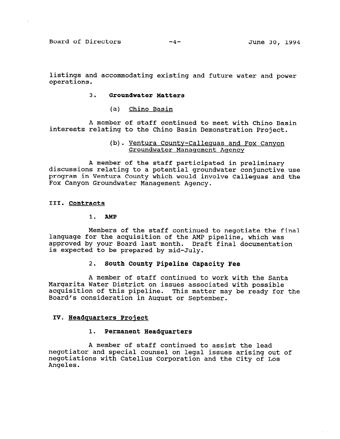Board of Directors -4- June 30, 1994

listings and accommodating existing and future water and power operations.

#### 3. Groundwater Matters

(a) Chino Basin

A member of staff continued to meet with Chino Basin interests relating to the Chino Basin Demonstration Project.

## (b). Ventura County-Callequas and Fox Canyon Groundwater Manaaement Agency

A member of the staff participated in preliminary discussions relating to a potential groundwater conjunctive use program in Ventura County which would involve Calleguas and the Fox Canyon Groundwater Management Agency.

#### III. Contracts

#### 1. AMP

Members of the staff continued to negotiate the final language for the acquisition of the AMP pipeline, which was approved by your Board last month. Draft final documentation is expected to be prepared by mid-July.

#### 2. South County Pipeline Capacity Fee

A member of staff continued to work with the Santa Margarita Water District on issues associated with possible acquisition of this pipeline. This matter may be ready for the Board's consideration in August or September.

### IV. Headquarters Project

## 1. Permanent Headquarters

A member of staff continued to assist the lead nember of staff continued to assist the lead<br>continued is an international international international international continued in the continued of the cont negotiator and special counser on legal issues arising out negotiations with Catellus Corporation and the City of Los<br>Angeles.